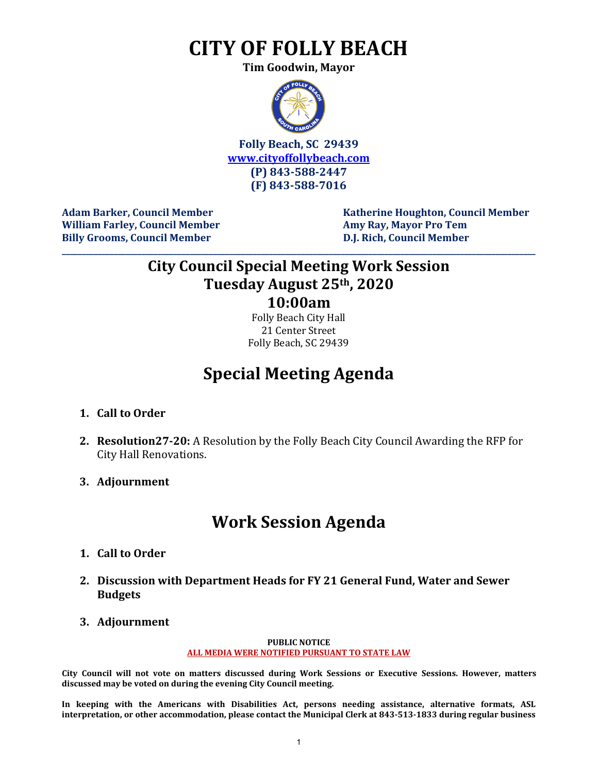## **CITY OF FOLLY BEACH**

**Tim Goodwin, Mayor**



**Folly Beach, SC 29439 [www.cityoffollybeach.com](http://www.cityoffollybeach.com/) (P) 843-588-2447 (F) 843-588-7016**

William Farley, Council Member **Amy Ray, Mayor Pro Tem Billy Grooms, Council Member D.J. Rich, Council Member**

**Adam Barker, Council Member New York Council Member Research Report Council Member** 

### **City Council Special Meeting Work Session Tuesday August 25th, 2020 10:00am**

**\_\_\_\_\_\_\_\_\_\_\_\_\_\_\_\_\_\_\_\_\_\_\_\_\_\_\_\_\_\_\_\_\_\_\_\_\_\_\_\_\_\_\_\_\_\_\_\_\_\_\_\_\_\_\_\_\_\_\_\_\_\_\_\_\_\_\_\_\_\_\_\_\_\_\_\_\_\_\_\_\_\_\_\_\_\_\_\_\_\_\_\_\_\_\_\_\_\_\_\_\_\_\_\_\_\_\_\_\_\_\_\_\_\_\_\_\_\_\_**

Folly Beach City Hall 21 Center Street Folly Beach, SC 29439

## **Special Meeting Agenda**

- **1. Call to Order**
- **2. Resolution27-20:** A Resolution by the Folly Beach City Council Awarding the RFP for City Hall Renovations.
- **3. Adjournment**

## **Work Session Agenda**

- **1. Call to Order**
- **2. Discussion with Department Heads for FY 21 General Fund, Water and Sewer Budgets**
- **3. Adjournment**

#### **PUBLIC NOTICE ALL MEDIA WERE NOTIFIED PURSUANT TO STATE LAW**

**City Council will not vote on matters discussed during Work Sessions or Executive Sessions. However, matters discussed may be voted on during the evening City Council meeting.** 

**In keeping with the Americans with Disabilities Act, persons needing assistance, alternative formats, ASL interpretation, or other accommodation, please contact the Municipal Clerk at 843-513-1833 during regular business**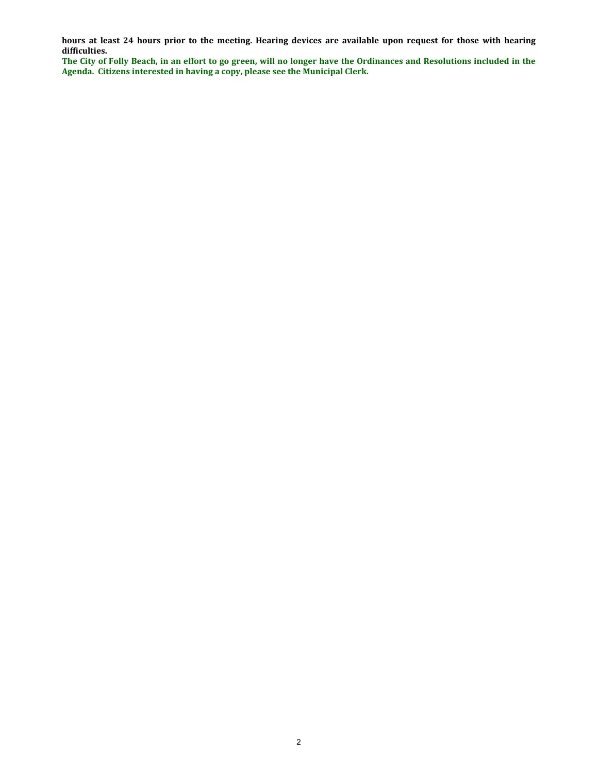**hours at least 24 hours prior to the meeting. Hearing devices are available upon request for those with hearing difficulties.**

**The City of Folly Beach, in an effort to go green, will no longer have the Ordinances and Resolutions included in the Agenda. Citizens interested in having a copy, please see the Municipal Clerk.**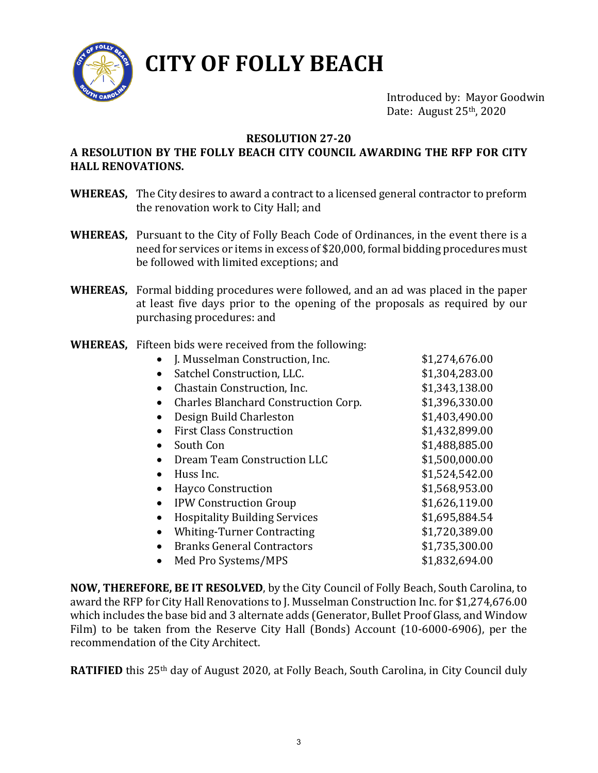

# **CITY OF FOLLY BEACH**

Introduced by: Mayor Goodwin Date: August 25<sup>th</sup>, 2020

#### **RESOLUTION 27-20**

### **A RESOLUTION BY THE FOLLY BEACH CITY COUNCIL AWARDING THE RFP FOR CITY HALL RENOVATIONS.**

- **WHEREAS,** The City desires to award a contract to a licensed general contractor to preform the renovation work to City Hall; and
- **WHEREAS,** Pursuant to the City of Folly Beach Code of Ordinances, in the event there is a need for services or items in excess of \$20,000, formal bidding procedures must be followed with limited exceptions; and
- **WHEREAS,** Formal bidding procedures were followed, and an ad was placed in the paper at least five days prior to the opening of the proposals as required by our purchasing procedures: and
- **WHEREAS,** Fifteen bids were received from the following:

| \$1,274,676.00 |
|----------------|
| \$1,304,283.00 |
| \$1,343,138.00 |
| \$1,396,330.00 |
| \$1,403,490.00 |
| \$1,432,899.00 |
| \$1,488,885.00 |
| \$1,500,000.00 |
| \$1,524,542.00 |
| \$1,568,953.00 |
| \$1,626,119.00 |
| \$1,695,884.54 |
| \$1,720,389.00 |
| \$1,735,300.00 |
| \$1,832,694.00 |
|                |

**NOW, THEREFORE, BE IT RESOLVED**, by the City Council of Folly Beach, South Carolina, to award the RFP for City Hall Renovations to J. Musselman Construction Inc. for \$1,274,676.00 which includes the base bid and 3 alternate adds (Generator, Bullet Proof Glass, and Window Film) to be taken from the Reserve City Hall (Bonds) Account (10-6000-6906), per the recommendation of the City Architect.

**RATIFIED** this 25<sup>th</sup> day of August 2020, at Folly Beach, South Carolina, in City Council duly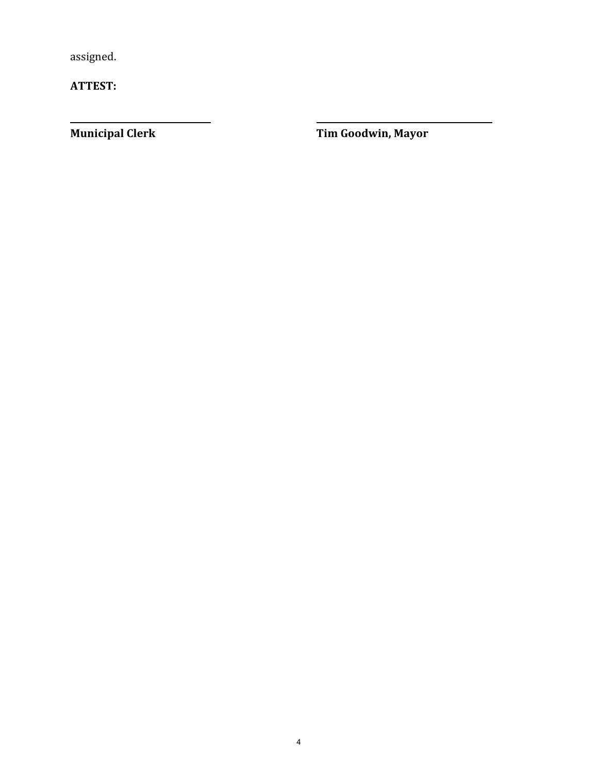assigned.

**ATTEST:** 

**Municipal Clerk Cooper Cooper Cooper Cooper Cooper Cooper Cooper Cooper Cooper Cooper Cooper Cooper Cooper Cooper Cooper Cooper Cooper Cooper Cooper Cooper Cooper Cooper Cooper Cooper Cooper Cooper Cooper Cooper Cooper Co**